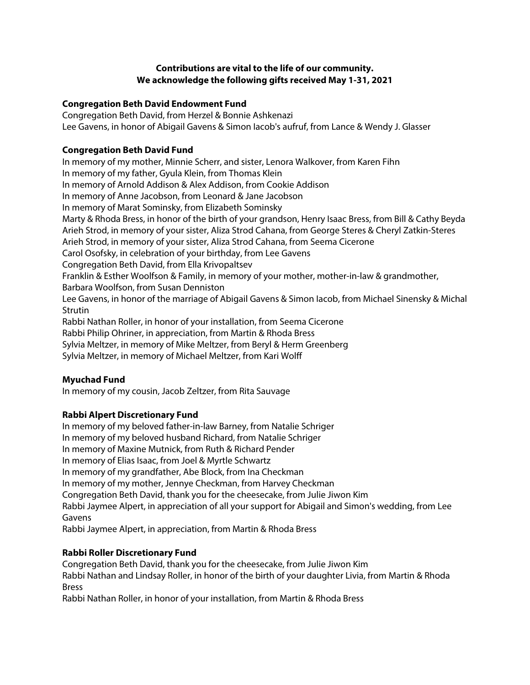# **Contributions are vital to the life of our community. We acknowledge the following gifts received May 1-31, 2021**

### **Congregation Beth David Endowment Fund**

Congregation Beth David, from Herzel & Bonnie Ashkenazi Lee Gavens, in honor of Abigail Gavens & Simon Iacob's aufruf, from Lance & Wendy J. Glasser

## **Congregation Beth David Fund**

In memory of my mother, Minnie Scherr, and sister, Lenora Walkover, from Karen Fihn In memory of my father, Gyula Klein, from Thomas Klein In memory of Arnold Addison & Alex Addison, from Cookie Addison In memory of Anne Jacobson, from Leonard & Jane Jacobson In memory of Marat Sominsky, from Elizabeth Sominsky Marty & Rhoda Bress, in honor of the birth of your grandson, Henry Isaac Bress, from Bill & Cathy Beyda Arieh Strod, in memory of your sister, Aliza Strod Cahana, from George Steres & Cheryl Zatkin-Steres Arieh Strod, in memory of your sister, Aliza Strod Cahana, from Seema Cicerone Carol Osofsky, in celebration of your birthday, from Lee Gavens Congregation Beth David, from Ella Krivopaltsev Franklin & Esther Woolfson & Family, in memory of your mother, mother-in-law & grandmother, Barbara Woolfson, from Susan Denniston Lee Gavens, in honor of the marriage of Abigail Gavens & Simon Iacob, from Michael Sinensky & Michal Strutin Rabbi Nathan Roller, in honor of your installation, from Seema Cicerone Rabbi Philip Ohriner, in appreciation, from Martin & Rhoda Bress Sylvia Meltzer, in memory of Mike Meltzer, from Beryl & Herm Greenberg

Sylvia Meltzer, in memory of Michael Meltzer, from Kari Wolff

# **Myuchad Fund**

In memory of my cousin, Jacob Zeltzer, from Rita Sauvage

## **Rabbi Alpert Discretionary Fund**

In memory of my beloved father-in-law Barney, from Natalie Schriger In memory of my beloved husband Richard, from Natalie Schriger In memory of Maxine Mutnick, from Ruth & Richard Pender In memory of Elias Isaac, from Joel & Myrtle Schwartz In memory of my grandfather, Abe Block, from Ina Checkman In memory of my mother, Jennye Checkman, from Harvey Checkman Congregation Beth David, thank you for the cheesecake, from Julie Jiwon Kim Rabbi Jaymee Alpert, in appreciation of all your support for Abigail and Simon's wedding, from Lee Gavens

Rabbi Jaymee Alpert, in appreciation, from Martin & Rhoda Bress

## **Rabbi Roller Discretionary Fund**

Congregation Beth David, thank you for the cheesecake, from Julie Jiwon Kim Rabbi Nathan and Lindsay Roller, in honor of the birth of your daughter Livia, from Martin & Rhoda Bress

Rabbi Nathan Roller, in honor of your installation, from Martin & Rhoda Bress